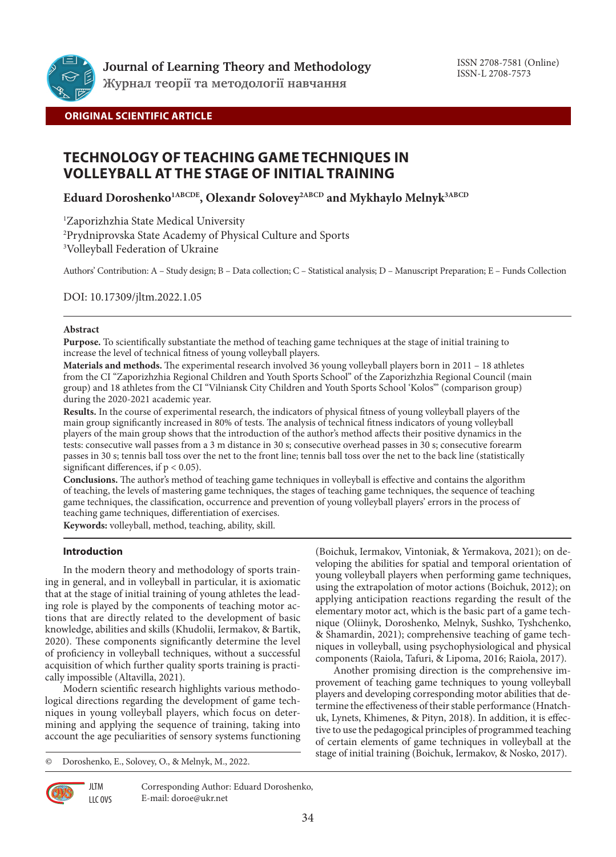

**Журнал теорії та методології навчання**

# **ORIGINAL SCIENTIFIC ARTICLE**

# **TECHNOLOGY OF TEACHING GAME TECHNIQUES IN VOLLEYBALL AT THE STAGE OF INITIAL TRAINING**

**Eduard Doroshenko1ABCDE, Olexandr Solovey2ABCD and Mykhaylo Melnyk3ABCD**

1 Zaporizhzhia State Medical University

2 Prydniprovska State Academy of Physical Culture and Sports

3 Volleyball Federation of Ukraine

Authors' Contribution: A – Study design; B – Data collection; C – Statistical analysis; D – Manuscript Preparation; E – Funds Collection

DOI: 10.17309/jltm.2022.1.05

## **Abstract**

**Purpose.** To scientifically substantiate the method of teaching game techniques at the stage of initial training to increase the level of technical fitness of young volleyball players.

**Materials and methods.** The experimental research involved 36 young volleyball players born in 2011 – 18 athletes from the CI "Zaporizhzhia Regional Children and Youth Sports School" of the Zaporizhzhia Regional Council (main group) and 18 athletes from the CI "Vilniansk City Children and Youth Sports School 'Kolos'" (comparison group) during the 2020-2021 academic year.

**Results.** In the course of experimental research, the indicators of physical fitness of young volleyball players of the main group significantly increased in 80% of tests. The analysis of technical fitness indicators of young volleyball players of the main group shows that the introduction of the author's method affects their positive dynamics in the tests: consecutive wall passes from a 3 m distance in 30 s; consecutive overhead passes in 30 s; consecutive forearm passes in 30 s; tennis ball toss over the net to the front line; tennis ball toss over the net to the back line (statistically significant differences, if  $p < 0.05$ ).

**Conclusions.** The author's method of teaching game techniques in volleyball is effective and contains the algorithm of teaching, the levels of mastering game techniques, the stages of teaching game techniques, the sequence of teaching game techniques, the classification, occurrence and prevention of young volleyball players' errors in the process of teaching game techniques, differentiation of exercises.

**Keywords:** volleyball, method, teaching, ability, skill.

# **Introduction**

In the modern theory and methodology of sports training in general, and in volleyball in particular, it is axiomatic that at the stage of initial training of young athletes the leading role is played by the components of teaching motor actions that are directly related to the development of basic knowledge, abilities and skills (Khudolii, Iermakov, & Bartik, 2020). These components significantly determine the level of proficiency in volleyball techniques, without a successful acquisition of which further quality sports training is practically impossible (Altavilla, 2021).

Modern scientific research highlights various methodological directions regarding the development of game techniques in young volleyball players, which focus on determining and applying the sequence of training, taking into account the age peculiarities of sensory systems functioning

© Doroshenko, E., Solovey, O., & Melnyk, M., 2022.

(Boichuk, Iermakov, Vintoniak, & Yermakova, 2021); on developing the abilities for spatial and temporal orientation of young volleyball players when performing game techniques, using the extrapolation of motor actions (Boichuk, 2012); on applying anticipation reactions regarding the result of the elementary motor act, which is the basic part of a game technique (Oliinyk, Doroshenko, Melnyk, Sushko, Tyshchenko, & Shamardin, 2021); comprehensive teaching of game techniques in volleyball, using psychophysiological and physical components (Raiola, Tafuri, & Lipoma, 2016; Raiola, 2017).

Another promising direction is the comprehensive improvement of teaching game techniques to young volleyball players and developing corresponding motor abilities that determine the effectiveness of their stable performance (Hnatchuk, Lynets, Khimenes, & Pityn, 2018). In addition, it is effective to use the pedagogical principles of programmed teaching of certain elements of game techniques in volleyball at the stage of initial training (Boichuk, Iermakov, & Nosko, 2017).



**JLTM** LLC OVS Corresponding Author: Eduard Doroshenko, E-mail: doroe@ukr.net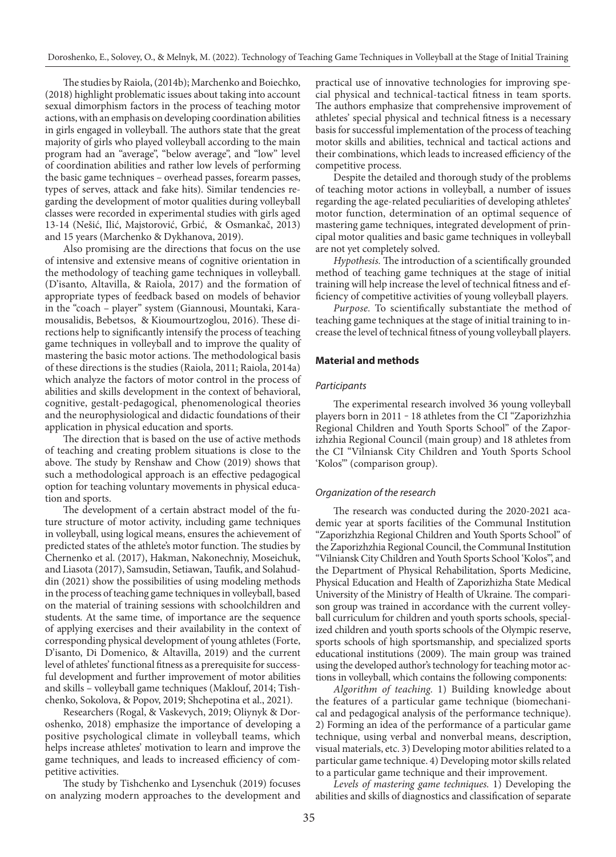The studies by Raiola, (2014b); Marchenko and Boiechko, (2018) highlight problematic issues about taking into account sexual dimorphism factors in the process of teaching motor actions, with an emphasis on developing coordination abilities in girls engaged in volleyball. The authors state that the great majority of girls who played volleyball according to the main program had an "average", "below average", and "low" level of coordination abilities and rather low levels of performing the basic game techniques – overhead passes, forearm passes, types of serves, attack and fake hits). Similar tendencies regarding the development of motor qualities during volleyball classes were recorded in experimental studies with girls aged 13-14 (Nešić, Ilić, Majstorović, Grbić, & Osmankač, 2013) and 15 years (Marchenko & Dykhanova, 2019).

Also promising are the directions that focus on the use of intensive and extensive means of cognitive orientation in the methodology of teaching game techniques in volleyball. (D'isanto, Altavilla, & Raiola, 2017) and the formation of appropriate types of feedback based on models of behavior in the "coach – player" system (Giannousi, Mountaki, Karamousalidis, Bebetsos, & Kioumourtzoglou, 2016). These directions help to significantly intensify the process of teaching game techniques in volleyball and to improve the quality of mastering the basic motor actions. The methodological basis of these directions is the studies (Raiola, 2011; Raiola, 2014a) which analyze the factors of motor control in the process of abilities and skills development in the context of behavioral, cognitive, gestalt-pedagogical, phenomenological theories and the neurophysiological and didactic foundations of their application in physical education and sports.

The direction that is based on the use of active methods of teaching and creating problem situations is close to the above. The study by Renshaw and Chow (2019) shows that such a methodological approach is an effective pedagogical option for teaching voluntary movements in physical education and sports.

The development of a certain abstract model of the future structure of motor activity, including game techniques in volleyball, using logical means, ensures the achievement of predicted states of the athlete's motor function. The studies by Chernenko et al. (2017), Hakman, Nakonechniy, Moseichuk, and Liasota (2017), Samsudin, Setiawan, Taufik, and Solahuddin (2021) show the possibilities of using modeling methods in the process of teaching game techniques in volleyball, based on the material of training sessions with schoolchildren and students. At the same time, of importance are the sequence of applying exercises and their availability in the context of corresponding physical development of young athletes (Forte, D'isanto, Di Domenico, & Altavilla, 2019) and the current level of athletes' functional fitness as a prerequisite for successful development and further improvement of motor abilities and skills – volleyball game techniques (Maklouf, 2014; Tishchenko, Sokolova, & Popov, 2019; Shchepotina et al., 2021).

Researchers (Rogal, & Vaskevych, 2019; Oliynyk & Doroshenko, 2018) emphasize the importance of developing a positive psychological climate in volleyball teams, which helps increase athletes' motivation to learn and improve the game techniques, and leads to increased efficiency of competitive activities.

The study by Tishchenko and Lysenchuk (2019) focuses on analyzing modern approaches to the development and

practical use of innovative technologies for improving special physical and technical-tactical fitness in team sports. The authors emphasize that comprehensive improvement of athletes' special physical and technical fitness is a necessary basis for successful implementation of the process of teaching motor skills and abilities, technical and tactical actions and their combinations, which leads to increased efficiency of the competitive process.

Despite the detailed and thorough study of the problems of teaching motor actions in volleyball, a number of issues regarding the age-related peculiarities of developing athletes' motor function, determination of an optimal sequence of mastering game techniques, integrated development of principal motor qualities and basic game techniques in volleyball are not yet completely solved.

*Hypothesis.* The introduction of a scientifically grounded method of teaching game techniques at the stage of initial training will help increase the level of technical fitness and efficiency of competitive activities of young volleyball players.

*Purpose.* To scientifically substantiate the method of teaching game techniques at the stage of initial training to increase the level of technical fitness of young volleyball players.

# **Material and methods**

#### *Participants*

The experimental research involved 36 young volleyball players born in 2011 ‒ 18 athletes from the CI "Zaporizhzhia Regional Children and Youth Sports School" of the Zaporizhzhia Regional Council (main group) and 18 athletes from the CI "Vilniansk City Children and Youth Sports School 'Kolos'" (comparison group).

## *Organization of the research*

The research was conducted during the 2020-2021 academic year at sports facilities of the Communal Institution "Zaporizhzhia Regional Children and Youth Sports School" of the Zaporizhzhia Regional Council, the Communal Institution "Vilniansk City Children and Youth Sports School 'Kolos'", and the Department of Physical Rehabilitation, Sports Medicine, Physical Education and Health of Zaporizhizha State Medical University of the Ministry of Health of Ukraine. The comparison group was trained in accordance with the current volleyball curriculum for children and youth sports schools, specialized children and youth sports schools of the Olympic reserve, sports schools of high sportsmanship, and specialized sports educational institutions (2009). The main group was trained using the developed author's technology for teaching motor actions in volleyball, which contains the following components:

*Algorithm of teaching.* 1) Building knowledge about the features of a particular game technique (biomechanical and pedagogical analysis of the performance technique). 2) Forming an idea of the performance of a particular game technique, using verbal and nonverbal means, description, visual materials, etc. 3) Developing motor abilities related to a particular game technique. 4) Developing motor skills related to a particular game technique and their improvement.

*Levels of mastering game techniques.* 1) Developing the abilities and skills of diagnostics and classification of separate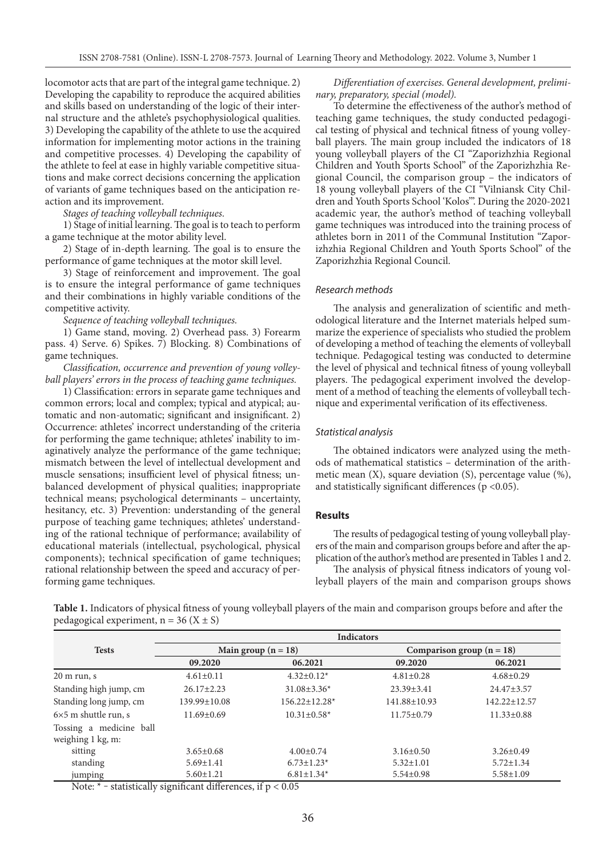locomotor acts that are part of the integral game technique. 2) Developing the capability to reproduce the acquired abilities and skills based on understanding of the logic of their internal structure and the athlete's psychophysiological qualities. 3) Developing the capability of the athlete to use the acquired information for implementing motor actions in the training and competitive processes. 4) Developing the capability of the athlete to feel at ease in highly variable competitive situations and make correct decisions concerning the application of variants of game techniques based on the anticipation reaction and its improvement.

*Stages of teaching volleyball techniques.*

1) Stage of initial learning. The goal is to teach to perform a game technique at the motor ability level.

2) Stage of in-depth learning. The goal is to ensure the performance of game techniques at the motor skill level.

3) Stage of reinforcement and improvement. The goal is to ensure the integral performance of game techniques and their combinations in highly variable conditions of the competitive activity.

*Sequence of teaching volleyball techniques.*

1) Game stand, moving. 2) Overhead pass. 3) Forearm pass. 4) Serve. 6) Spikes. 7) Blocking. 8) Combinations of game techniques.

*Classification, occurrence and prevention of young volleyball players' errors in the process of teaching game techniques.*

1) Classification: errors in separate game techniques and common errors; local and complex; typical and atypical; automatic and non-automatic; significant and insignificant. 2) Occurrence: athletes' incorrect understanding of the criteria for performing the game technique; athletes' inability to imaginatively analyze the performance of the game technique; mismatch between the level of intellectual development and muscle sensations; insufficient level of physical fitness; unbalanced development of physical qualities; inappropriate technical means; psychological determinants – uncertainty, hesitancy, etc. 3) Prevention: understanding of the general purpose of teaching game techniques; athletes' understanding of the rational technique of performance; availability of educational materials (intellectual, psychological, physical components); technical specification of game techniques; rational relationship between the speed and accuracy of performing game techniques.

*Differentiation of exercises. General development, preliminary, preparatory, special (model).* 

To determine the effectiveness of the author's method of teaching game techniques, the study conducted pedagogical testing of physical and technical fitness of young volleyball players. The main group included the indicators of 18 young volleyball players of the CI "Zaporizhzhia Regional Children and Youth Sports School" of the Zaporizhzhia Regional Council, the comparison group – the indicators of 18 young volleyball players of the CI "Vilniansk City Children and Youth Sports School 'Kolos'". During the 2020-2021 academic year, the author's method of teaching volleyball game techniques was introduced into the training process of athletes born in 2011 of the Communal Institution "Zaporizhzhia Regional Children and Youth Sports School" of the Zaporizhzhia Regional Council.

#### *Research methods*

The analysis and generalization of scientific and methodological literature and the Internet materials helped summarize the experience of specialists who studied the problem of developing a method of teaching the elements of volleyball technique. Pedagogical testing was conducted to determine the level of physical and technical fitness of young volleyball players. The pedagogical experiment involved the development of a method of teaching the elements of volleyball technique and experimental verification of its effectiveness.

#### *Statistical analysis*

The obtained indicators were analyzed using the methods of mathematical statistics – determination of the arithmetic mean (X), square deviation (S), percentage value (%), and statistically significant differences ( $p < 0.05$ ).

#### **Results**

The results of pedagogical testing of young volleyball players of the main and comparison groups before and after the application of the author's method are presented in Tables 1 and 2.

The analysis of physical fitness indicators of young volleyball players of the main and comparison groups shows

**Table 1.** Indicators of physical fitness of young volleyball players of the main and comparison groups before and after the pedagogical experiment,  $n = 36$  (X  $\pm$  S)

|                             | <b>Indicators</b>                          |                                            |                             |                    |  |
|-----------------------------|--------------------------------------------|--------------------------------------------|-----------------------------|--------------------|--|
| <b>Tests</b>                | Main group $(n = 18)$                      |                                            | Comparison group $(n = 18)$ |                    |  |
|                             | 09.2020                                    | 06.2021                                    | 09.2020                     | 06.2021            |  |
| $20 \text{ m run}, s$       | $4.61 \pm 0.11$                            | $4.32 \pm 0.12^*$                          | $4.81 \pm 0.28$             | $4.68 \pm 0.29$    |  |
| Standing high jump, cm      | $26.17 \pm 2.23$                           | $31.08 \pm 3.36*$                          | $23.39 \pm 3.41$            | $24.47 \pm 3.57$   |  |
| Standing long jump, cm      | $139.99 \pm 10.08$                         | $156.22 \pm 12.28*$                        | 141.88±10.93                | $142.22 \pm 12.57$ |  |
| $6\times5$ m shuttle run, s | $11.69 \pm 0.69$                           | $10.31 \pm 0.58$ *                         | $11.75 \pm 0.79$            | $11.33 \pm 0.88$   |  |
| Tossing a medicine ball     |                                            |                                            |                             |                    |  |
| weighing 1 kg, m:           |                                            |                                            |                             |                    |  |
| sitting                     | $3.65 \pm 0.68$                            | $4.00 \pm 0.74$                            | $3.16 \pm 0.50$             | $3.26 \pm 0.49$    |  |
| standing                    | $5.69 \pm 1.41$                            | $6.73 \pm 1.23$ *                          | $5.32 \pm 1.01$             | $5.72 \pm 1.34$    |  |
| jumping<br>$\mathbf{H}$     | $5.60 \pm 1.21$<br>$\sim$<br>$\sim$ $\sim$ | $6.81 \pm 1.34*$<br>$\sim$ $\sim$<br>- - - | $5.54 \pm 0.98$             | $5.58 \pm 1.09$    |  |

Note:  $*$  – statistically significant differences, if  $p < 0.05$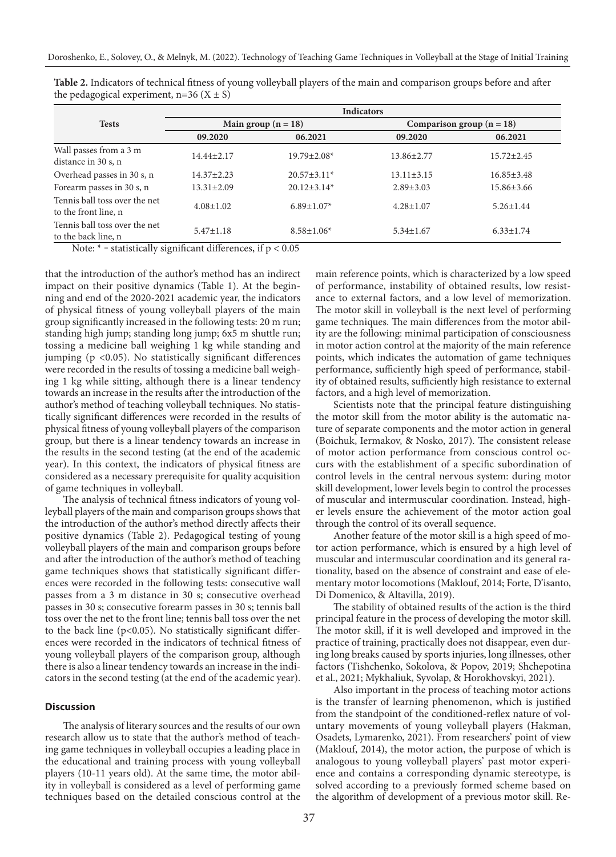|                                                       | <b>Indicators</b>     |                   |                             |                  |  |
|-------------------------------------------------------|-----------------------|-------------------|-----------------------------|------------------|--|
| <b>Tests</b>                                          | Main group $(n = 18)$ |                   | Comparison group $(n = 18)$ |                  |  |
|                                                       | 09.2020               | 06.2021           | 09.2020                     | 06.2021          |  |
| Wall passes from a 3 m<br>distance in 30 s, n         | $14.44 \pm 2.17$      | $19.79 \pm 2.08*$ | $13.86 \pm 2.77$            | $15.72 \pm 2.45$ |  |
| Overhead passes in 30 s, n                            | $14.37 \pm 2.23$      | $20.57 \pm 3.11*$ | $13.11 \pm 3.15$            | $16.85 \pm 3.48$ |  |
| Forearm passes in 30 s, n                             | $13.31 \pm 2.09$      | $20.12 \pm 3.14*$ | $2.89 \pm 3.03$             | $15.86 \pm 3.66$ |  |
| Tennis ball toss over the net<br>to the front line, n | $4.08 \pm 1.02$       | $6.89 \pm 1.07*$  | $4.28 \pm 1.07$             | $5.26 \pm 1.44$  |  |
| Tennis ball toss over the net<br>to the back line, n  | $5.47 \pm 1.18$       | $8.58 \pm 1.06*$  | $5.34 \pm 1.67$             | $6.33 \pm 1.74$  |  |

**Table 2.** Indicators of technical fitness of young volleyball players of the main and comparison groups before and after the pedagogical experiment,  $n=36$  (X  $\pm$  S)

Note:  $*$  – statistically significant differences, if  $p < 0.05$ 

that the introduction of the author's method has an indirect impact on their positive dynamics (Table 1). At the beginning and end of the 2020-2021 academic year, the indicators of physical fitness of young volleyball players of the main group significantly increased in the following tests: 20 m run; standing high jump; standing long jump; 6x5 m shuttle run; tossing a medicine ball weighing 1 kg while standing and jumping ( $p < 0.05$ ). No statistically significant differences were recorded in the results of tossing a medicine ball weighing 1 kg while sitting, although there is a linear tendency towards an increase in the results after the introduction of the author's method of teaching volleyball techniques. No statistically significant differences were recorded in the results of physical fitness of young volleyball players of the comparison group, but there is a linear tendency towards an increase in the results in the second testing (at the end of the academic year). In this context, the indicators of physical fitness are considered as a necessary prerequisite for quality acquisition of game techniques in volleyball.

The analysis of technical fitness indicators of young volleyball players of the main and comparison groups shows that the introduction of the author's method directly affects their positive dynamics (Table 2). Pedagogical testing of young volleyball players of the main and comparison groups before and after the introduction of the author's method of teaching game techniques shows that statistically significant differences were recorded in the following tests: consecutive wall passes from a 3 m distance in 30 s; consecutive overhead passes in 30 s; consecutive forearm passes in 30 s; tennis ball toss over the net to the front line; tennis ball toss over the net to the back line ( $p<0.05$ ). No statistically significant differences were recorded in the indicators of technical fitness of young volleyball players of the comparison group, although there is also a linear tendency towards an increase in the indicators in the second testing (at the end of the academic year).

#### **Discussion**

The analysis of literary sources and the results of our own research allow us to state that the author's method of teaching game techniques in volleyball occupies a leading place in the educational and training process with young volleyball players (10-11 years old). At the same time, the motor ability in volleyball is considered as a level of performing game techniques based on the detailed conscious control at the main reference points, which is characterized by a low speed of performance, instability of obtained results, low resistance to external factors, and a low level of memorization. The motor skill in volleyball is the next level of performing game techniques. The main differences from the motor ability are the following: minimal participation of consciousness in motor action control at the majority of the main reference points, which indicates the automation of game techniques performance, sufficiently high speed of performance, stability of obtained results, sufficiently high resistance to external factors, and a high level of memorization.

Scientists note that the principal feature distinguishing the motor skill from the motor ability is the automatic nature of separate components and the motor action in general (Boichuk, Iermakov, & Nosko, 2017). The consistent release of motor action performance from conscious control occurs with the establishment of a specific subordination of control levels in the central nervous system: during motor skill development, lower levels begin to control the processes of muscular and intermuscular coordination. Instead, higher levels ensure the achievement of the motor action goal through the control of its overall sequence.

Another feature of the motor skill is a high speed of motor action performance, which is ensured by a high level of muscular and intermuscular coordination and its general rationality, based on the absence of constraint and ease of elementary motor locomotions (Maklouf, 2014; Forte, D'isanto, Di Domenico, & Altavilla, 2019).

The stability of obtained results of the action is the third principal feature in the process of developing the motor skill. The motor skill, if it is well developed and improved in the practice of training, practically does not disappear, even during long breaks caused by sports injuries, long illnesses, other factors (Tishchenko, Sokolova, & Popov, 2019; Shchepotina et al., 2021; Mykhaliuk, Syvolap, & Horokhovskyi, 2021).

Also important in the process of teaching motor actions is the transfer of learning phenomenon, which is justified from the standpoint of the conditioned-reflex nature of voluntary movements of young volleyball players (Hakman, Osadets, Lymarenko, 2021). From researchers' point of view (Maklouf, 2014), the motor action, the purpose of which is analogous to young volleyball players' past motor experience and contains a corresponding dynamic stereotype, is solved according to a previously formed scheme based on the algorithm of development of a previous motor skill. Re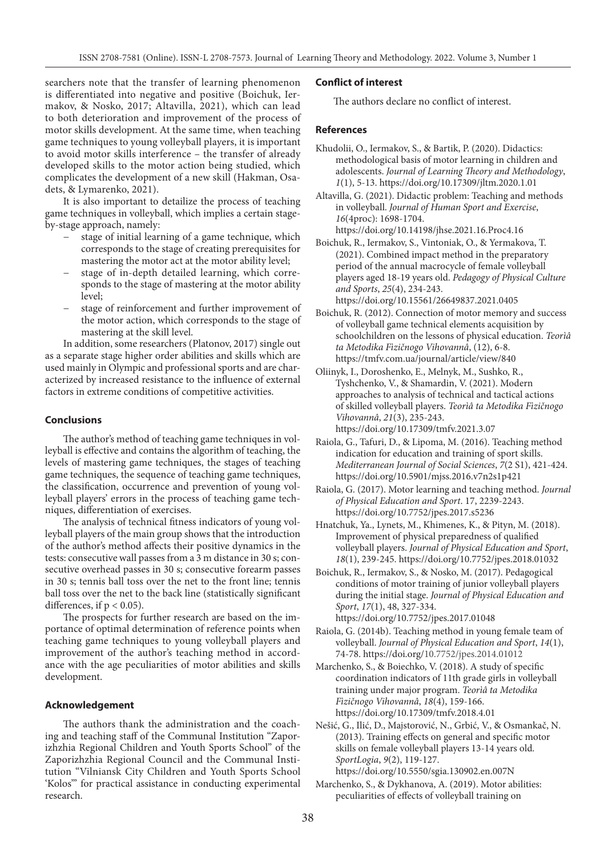searchers note that the transfer of learning phenomenon is differentiated into negative and positive (Boichuk, Iermakov, & Nosko, 2017; Altavilla, 2021), which can lead to both deterioration and improvement of the process of motor skills development. At the same time, when teaching game techniques to young volleyball players, it is important to avoid motor skills interference – the transfer of already developed skills to the motor action being studied, which complicates the development of a new skill (Hakman, Osadets, & Lymarenko, 2021).

It is also important to detailize the process of teaching game techniques in volleyball, which implies a certain stageby-stage approach, namely:

- stage of initial learning of a game technique, which corresponds to the stage of creating prerequisites for mastering the motor act at the motor ability level;
- stage of in-depth detailed learning, which corresponds to the stage of mastering at the motor ability level;
- stage of reinforcement and further improvement of the motor action, which corresponds to the stage of mastering at the skill level.

In addition, some researchers (Platonov, 2017) single out as a separate stage higher order abilities and skills which are used mainly in Olympic and professional sports and are characterized by increased resistance to the influence of external factors in extreme conditions of competitive activities.

# **Conclusions**

The author's method of teaching game techniques in volleyball is effective and contains the algorithm of teaching, the levels of mastering game techniques, the stages of teaching game techniques, the sequence of teaching game techniques, the classification, occurrence and prevention of young volleyball players' errors in the process of teaching game techniques, differentiation of exercises.

The analysis of technical fitness indicators of young volleyball players of the main group shows that the introduction of the author's method affects their positive dynamics in the tests: consecutive wall passes from a 3 m distance in 30 s; consecutive overhead passes in 30 s; consecutive forearm passes in 30 s; tennis ball toss over the net to the front line; tennis ball toss over the net to the back line (statistically significant differences, if  $p < 0.05$ ).

The prospects for further research are based on the importance of optimal determination of reference points when teaching game techniques to young volleyball players and improvement of the author's teaching method in accordance with the age peculiarities of motor abilities and skills development.

## **Acknowledgement**

The authors thank the administration and the coaching and teaching staff of the Communal Institution "Zaporizhzhia Regional Children and Youth Sports School" of the Zaporizhzhia Regional Council and the Communal Institution "Vilniansk City Children and Youth Sports School 'Kolos'" for practical assistance in conducting experimental research.

## **Conflict of interest**

The authors declare no conflict of interest.

## **References**

- Khudolii, O., Iermakov, S., & Bartik, P. (2020). Didactics: methodological basis of motor learning in children and adolescents. *Journal of Learning Theory and Methodology*, *1*(1), 5-13. https://doi.org/10.17309/jltm.2020.1.01
- Altavilla, G. (2021). Didactic problem: Teaching and methods in volleyball. *Journal of Human Sport and Exercise*, *16*(4proc): 1698-1704. https://doi.org/10.14198/jhse.2021.16.Proc4.16
- Boichuk, R., Iermakov, S., Vintoniak, O., & Yermakova, T. (2021). Combined impact method in the preparatory period of the annual macrocycle of female volleyball players aged 18-19 years old. *Pedagogy of Physical Culture and Sports*, *25*(4), 234-243. https://doi.org/10.15561/26649837.2021.0405

Boichuk, R. (2012). Connection of motor memory and success of volleyball game technical elements acquisition by schoolchildren on the lessons of physical education. *Teorìâ ta Metodika Fìzičnogo Vihovannâ*, (12), 6-8. https://tmfv.com.ua/journal/article/view/840

- Oliinyk, I., Doroshenko, E., Melnyk, M., Sushko, R., Tyshchenko, V., & Shamardin, V. (2021). Modern approaches to analysis of technical and tactical actions of skilled volleyball players. *Teorìâ ta Metodika Fìzičnogo Vihovannâ*, *21*(3), 235-243. https://doi.org/10.17309/tmfv.2021.3.07
- Raiola, G., Tafuri, D., & Lipoma, M. (2016). Teaching method indication for education and training of sport skills. *Mediterranean Journal of Social Sciences*, *7*(2 S1), 421-424. https://doi.org/10.5901/mjss.2016.v7n2s1p421
- Raiola, G. (2017). Motor learning and teaching method. *Journal of Physical Education and Sport*. 17, 2239-2243. https://doi.org/10.7752/jpes.2017.s5236
- Hnatchuk, Ya., Lynets, M., Khimenes, K., & Pityn, M. (2018). Improvement of physical preparedness of qualified volleyball players. *Journal of Physical Education and Sport*, *18*(1), 239-245. https://doi.org/10.7752/jpes.2018.01032
- Boichuk, R., Iermakov, S., & Nosko, M. (2017). Pedagogical conditions of motor training of junior volleyball players during the initial stage. *Journal of Physical Education and Sport*, *17*(1), 48, 327-334. https://doi.org/10.7752/jpes.2017.01048
- Raiola, G. (2014b). Teaching method in young female team of volleyball. *Journal of Physical Education and Sport*, *14*(1), 74-78. https://doi.org/10.7752/jpes.2014.01012
- Marchenko, S., & Boiechko, V. (2018). A study of specific coordination indicators of 11th grade girls in volleyball training under major program. *Teorìâ ta Metodika Fìzičnogo Vihovannâ*, *18*(4), 159-166. https://doi.org/10.17309/tmfv.2018.4.01
- Nešić, G., Ilić, D., Majstorović, N., Grbić, V., & Osmankač, N. (2013). Training effects on general and specific motor skills on female volleyball players 13-14 years old. *SportLogia*, *9*(2), 119-127. https://doi.org/10.5550/sgia.130902.en.007N
- Marchenko, S., & Dykhanova, A. (2019). Motor аbilities: peculiarities of effects of volleyball training on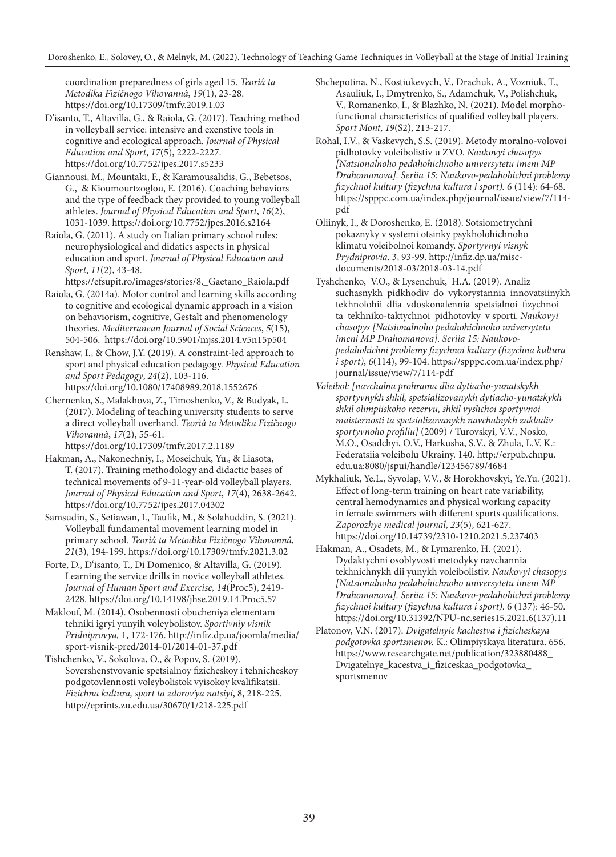coordination preparedness of girls aged 15. *Teorìâ ta Metodika Fìzičnogo Vihovannâ*, *19*(1), 23-28. https://doi.org/10.17309/tmfv.2019.1.03

D'isanto, T., Altavilla, G., & Raiola, G. (2017). Teaching method in volleyball service: intensive and exenstive tools in cognitive and ecological approach. *Journal of Physical Education and Sport*, *17*(5), 2222-2227. https://doi.org/10.7752/jpes.2017.s5233

Giannousi, M., Mountaki, F., & Karamousalidis, G., Bebetsos, G., & Kioumourtzoglou, E. (2016). Coaching behaviors and the type of feedback they provided to young volleyball athletes. *Journal of Physical Education and Sport*, *16*(2), 1031-1039. https://doi.org/10.7752/jpes.2016.s2164

Raiola, G. (2011). A study on Italian primary school rules: neurophysiological and didatics aspects in physical education and sport. *Journal of Physical Education and Sport*, *11*(2), 43-48.

https://efsupit.ro/images/stories/8.\_Gaetano\_Raiola.pdf

Raiola, G. (2014a). Motor control and learning skills according to cognitive and ecological dynamic approach in a vision on behaviorism, cognitive, Gestalt and phenomenology theories. *Mediterranean Journal of Social Sciences*, *5*(15), 504-506. https://doi.org/10.5901/mjss.2014.v5n15p504

Renshaw, I., & Chow, J.Y. (2019). A constraint-led approach to sport and physical education pedagogy. *Physical Education and Sport Pedagogy*, *24*(2), 103-116. https://doi.org/10.1080/17408989.2018.1552676

Chernenko, S., Malakhova, Z., Timoshenko, V., & Budyak, L. (2017). Modeling of teaching university students to serve a direct volleyball overhand. *Teorìâ ta Metodika Fìzičnogo Vihovannâ*, *17*(2), 55-61.

https://doi.org/10.17309/tmfv.2017.2.1189

Hakman, A., Nakonechniy, I., Moseichuk, Yu., & Liasota, T. (2017). Training methodology and didactic bases of technical movements of 9-11-year-old volleyball players. *Journal of Physical Education and Sport*, *17*(4), 2638-2642. https://doi.org/10.7752/jpes.2017.04302

Samsudin, S., Setiawan, I., Taufik, M., & Solahuddin, S. (2021). Volleyball fundamental movement learning model in primary school. *Teorìâ ta Metodika Fìzičnogo Vihovannâ*, *21*(3), 194-199. https://doi.org/10.17309/tmfv.2021.3.02

Forte, D., D'isanto, T., Di Domenico, & Altavilla, G. (2019). Learning the service drills in novice volleyball athletes. *Journal of Human Sport and Exercise, 14*(Proc5), 2419- 2428. https://doi.org/10.14198/jhse.2019.14.Proc5.57

Maklouf, M. (2014). Osobennosti obucheniya elementam tehniki igryi yunyih voleybolistov. *Sportivniy visnik Pridniprovya,* 1, 172-176. http://infiz.dp.ua/joomla/media/ sport-visnik-pred/2014-01/2014-01-37.pdf

Tishchenko, V., Sokolova, O., & Popov, S. (2019). Sovershenstvovanie spetsialnoy fizicheskoy i tehnicheskoy podgotovlennosti voleybolistok vyisokoy kvalifikatsii. *Fizichna kultura, sport ta zdorov'ya natsiyi*, 8, 218-225. http://eprints.zu.edu.ua/30670/1/218-225.pdf

Shchepotina, N., Kostiukevych, V., Drachuk, A., Vozniuk, T., Asauliuk, I., Dmytrenko, S., Adamchuk, V., Polishchuk, V., Romanenko, I., & Blazhko, N. (2021). Model morphofunctional characteristics of qualified volleyball players. *Sport Mont*, *19*(S2), 213-217.

Rohal, I.V., & Vaskevych, S.S. (2019). Metody moralno-volovoi pidhotovky voleibolistiv u ZVO. *Naukovyi chasopys [Natsionalnoho pedahohichnoho universytetu imeni MP Drahomanova]. Seriia 15: Naukovo-pedahohichni problemy fizychnoi kultury (fizychna kultura i sport).* 6 (114): 64-68. https://spppc.com.ua/index.php/journal/issue/view/7/114 pdf

Oliinyk, I., & Doroshenko, E. (2018). Sotsiometrychni pokaznyky v systemi otsinky psykholohichnoho klimatu voleibolnoi komandy. *Sportyvnyi visnyk Prydniprovia*. 3, 93-99. http://infiz.dp.ua/miscdocuments/2018-03/2018-03-14.pdf

Tyshchenko, V.O., & Lysenchuk, H.A. (2019). Analiz suchasnykh pidkhodiv do vykorystannia innovatsiinykh tekhnolohii dlia vdoskonalennia spetsialnoi fizychnoi ta tekhniko-taktychnoi pidhotovky v sporti. *Naukovyi chasopys [Natsionalnoho pedahohichnoho universytetu imeni MP Drahomanova]. Seriia 15: Naukovopedahohichni problemy fizychnoi kultury (fizychna kultura i sport)*, *6*(114), 99-104. https://spppc.com.ua/index.php/ journal/issue/view/7/114-pdf

*Voleibol: [navchalna prohrama dlia dytiacho-yunatskykh sportyvnykh shkil, spetsializovanykh dytiacho-yunatskykh shkil olimpiiskoho rezervu, shkil vyshchoi sportyvnoi maisternosti ta spetsializovanykh navchalnykh zakladiv sportyvnoho profiliu]* (2009) / Turovskyi, V.V., Nosko, M.O., Osadchyi, O.V., Harkusha, S.V., & Zhula, L.V. K.: Federatsiia voleibolu Ukrainy. 140. http://erpub.chnpu. edu.ua:8080/jspui/handle/123456789/4684

Mykhaliuk, Ye.L., Syvolap, V.V., & Horokhovskyi, Ye.Yu. (2021). Effect of long-term training on heart rate variability, central hemodynamics and physical working capacity in female swimmers with different sports qualifications. *Zaporozhye medical journal*, *23*(5), 621-627. https://doi.org/10.14739/2310-1210.2021.5.237403

Hakman, A., Osadets, M., & Lymarenko, H. (2021). Dydaktychni osoblyvosti metodyky navchannia tekhnichnykh dii yunykh voleibolistiv. *Naukovyi chasopys [Natsionalnoho pedahohichnoho universytetu imeni MP Drahomanova]. Seriia 15: Naukovo-pedahohichni problemy fizychnoi kultury (fizychna kultura i sport)*. 6 (137): 46-50. https://doi.org/10.31392/NPU-nc.series15.2021.6(137).11

Platonov, V.N. (2017). *Dvigatelnyie kachestva i fizicheskaya podgotovka sportsmenov.* K.: Olimpiyskaya literatura. 656. https://www.researchgate.net/publication/323880488\_ Dvigatelnye\_kacestva\_i\_fiziceskaa\_podgotovka\_ sportsmenov